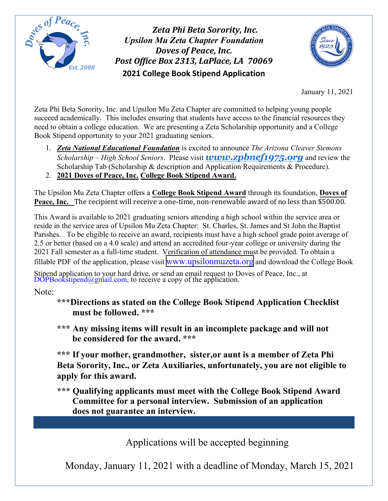

*Zeta Phi Beta Sorority, Inc. Upsilon Mu Zeta Chapter Foundation Doves of Peace, Inc. Post Office Box 2313, LaPlace, LA 70069*  **2021 College Book Stipend Application**



January 11, 2021

Zeta Phi Beta Sorority, Inc. and Upsilon Mu Zeta Chapter are committed to helping young people succeed academically. This includes ensuring that students have access to the financial resources they need to obtain a college education. We are presenting a Zeta Scholarship opportunity and a College Book Stipend opportunity to your 2021 graduating seniors.

- 1. *Zeta National Educational Foundation* is excited to announce *The Arizona Cleaver Stemons Scholarship – High School Seniors*. Please visit *[www.zpbnef1975.org](https://click.memberplanet.net/wf/click?upn=wyxjcpRfaD3bUUFKVJYaS6UNqgNuZwSI8GJwTWx1bkw-3D_3x74iZi1aPPbFyFjrta-2BiyyAiRCR-2BvleTbGOAY52Sff-2F24RtHoQXm88Q0v1jngDGgW89oTZwEj5UMOvs0O8JJcuKLgip9P4fiFoJcD1ZXo9nFthjXuXprCJWDPs4j0OHQswq9lJwwPAMloEiCjNdj4n1UcZh7gt9B6U4KwS7EqhaIv1Ps0IcMJK-2B2SLa-2Fdw9gmKEZYMyW592FliiM3nrdM-2Fry6-2B4RJz-2FoSHJ9DQczPfjpsUCOOujzqBQhHv2VrFArcZDAECVe4aZzm4PDlw-2Bntw-2F1emfv-2By1StdivkyVg7QqGm49jh-2B5qmbgwhIKakJh)* and review the Scholarship Tab (Scholarship & description and Application Requirements & Procedure).
- 2. **2021 Doves of Peace, Inc. College Book Stipend Award.**

The Upsilon Mu Zeta Chapter offers a **College Book Stipend Award** through its foundation, **Doves of Peace, Inc.** The recipient will receive a one-time, non-renewable award of no less than \$500.00.

This Award is available to 2021 graduating seniors attending a high school within the service area or reside in the service area of Upsilon Mu Zeta Chapter: St. Charles, St. James and St John the Baptist Parishes. To be eligible to receive an award, recipients must have a high school grade point average of 2.5 or better (based on a 4.0 scale) and attend an accredited four-year college or university during the 2021 Fall semester as a full-time student. Verification of attendance must be provided. To obtain a fillable PDF of the application, please visit www.upsilonmuzeta.org and download the College Book

Stipend application to your hard drive, or send an email request to Doves of Peace, Inc., at DOPBookstipend@gmail.com, to receive a copy of the application.

Note:

- **\*\*\*Directions as stated on the College Book Stipend Application Checklist must be followed. \*\*\***
- **\*\*\* Any missing items will result in an incomplete package and will not be considered for the award. \*\*\***

**\*\*\* If your mother, grandmother, sister,or aunt is a member of Zeta Phi Beta Sorority, Inc., or Zeta Auxiliaries, unfortunately, you are not eligible to apply for this award.**

**\*\*\* Qualifying applicants must meet with the College Book Stipend Award Committee for a personal interview. Submission of an application does not guarantee an interview.** 

Applications will be accepted beginning

Monday, January 11, 2021 with a deadline of Monday, March 15, 2021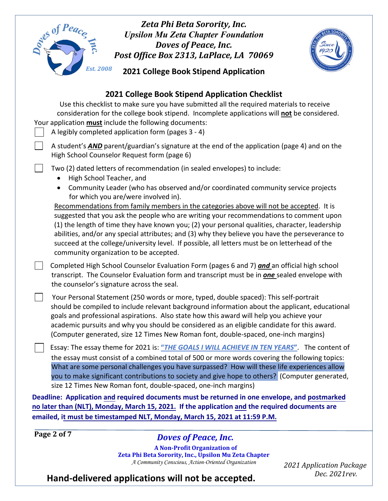| Zeta Phi Beta Sorority, Inc.<br>Ses of Peace<br><b>Upsilon Mu Zeta Chapter Foundation</b><br>Doves of Peace, Inc.<br>Post Office Box 2313, LaPlace, LA 70069                                                                                                                                                                                                                                                                                                                                                                                                                                                                      |                                           |
|-----------------------------------------------------------------------------------------------------------------------------------------------------------------------------------------------------------------------------------------------------------------------------------------------------------------------------------------------------------------------------------------------------------------------------------------------------------------------------------------------------------------------------------------------------------------------------------------------------------------------------------|-------------------------------------------|
| <b>Est. 2008</b><br>2021 College Book Stipend Application                                                                                                                                                                                                                                                                                                                                                                                                                                                                                                                                                                         |                                           |
| 2021 College Book Stipend Application Checklist<br>Use this checklist to make sure you have submitted all the required materials to receive<br>consideration for the college book stipend. Incomplete applications will not be considered.<br>Your application must include the following documents:<br>A legibly completed application form (pages 3 - 4)                                                                                                                                                                                                                                                                        |                                           |
| A student's <b>AND</b> parent/guardian's signature at the end of the application (page 4) and on the<br>High School Counselor Request form (page 6)                                                                                                                                                                                                                                                                                                                                                                                                                                                                               |                                           |
| Two (2) dated letters of recommendation (in sealed envelopes) to include:<br>High School Teacher, and                                                                                                                                                                                                                                                                                                                                                                                                                                                                                                                             |                                           |
| Community Leader (who has observed and/or coordinated community service projects<br>$\bullet$<br>for which you are/were involved in).<br>Recommendations from family members in the categories above will not be accepted. It is<br>suggested that you ask the people who are writing your recommendations to comment upon<br>(1) the length of time they have known you; (2) your personal qualities, character, leadership<br>abilities, and/or any special attributes; and (3) why they believe you have the perseverance to<br>succeed at the college/university level. If possible, all letters must be on letterhead of the |                                           |
| community organization to be accepted.<br>Completed High School Counselor Evaluation Form (pages 6 and 7) and an official high school<br>transcript. The Counselor Evaluation form and transcript must be in <b>one</b> sealed envelope with<br>the counselor's signature across the seal.                                                                                                                                                                                                                                                                                                                                        |                                           |
| Your Personal Statement (250 words or more, typed, double spaced): This self-portrait<br>should be compiled to include relevant background information about the applicant, educational<br>goals and professional aspirations. Also state how this award will help you achieve your<br>academic pursuits and why you should be considered as an eligible candidate for this award.<br>(Computer generated, size 12 Times New Roman font, double-spaced, one-inch margins)                                                                                                                                                         |                                           |
| Essay: The essay theme for 2021 is: "THE GOALS I WILL ACHIEVE IN TEN YEARS". The content of<br>the essay must consist of a combined total of 500 or more words covering the following topics:<br>What are some personal challenges you have surpassed? How will these life experiences allow<br>you to make significant contributions to society and give hope to others? (Computer generated,                                                                                                                                                                                                                                    |                                           |
| size 12 Times New Roman font, double-spaced, one-inch margins)<br>Deadline: Application and required documents must be returned in one envelope, and postmarked                                                                                                                                                                                                                                                                                                                                                                                                                                                                   |                                           |
| no later than (NLT), Monday, March 15, 2021. If the application and the required documents are<br>emailed, it must be timestamped NLT, Monday, March 15, 2021 at 11:59 P.M.                                                                                                                                                                                                                                                                                                                                                                                                                                                       |                                           |
| Page 2 of 7                                                                                                                                                                                                                                                                                                                                                                                                                                                                                                                                                                                                                       |                                           |
| <b>Doves of Peace, Inc.</b>                                                                                                                                                                                                                                                                                                                                                                                                                                                                                                                                                                                                       |                                           |
| <b>A Non-Profit Organization of</b><br>Zeta Phi Beta Sorority, Inc., Upsilon Mu Zeta Chapter<br>A Community Conscious, Action-Oriented Organization                                                                                                                                                                                                                                                                                                                                                                                                                                                                               | 2021 Application Package<br>Dec. 2021rev. |
| Hand-delivered applications will not be accepted.                                                                                                                                                                                                                                                                                                                                                                                                                                                                                                                                                                                 |                                           |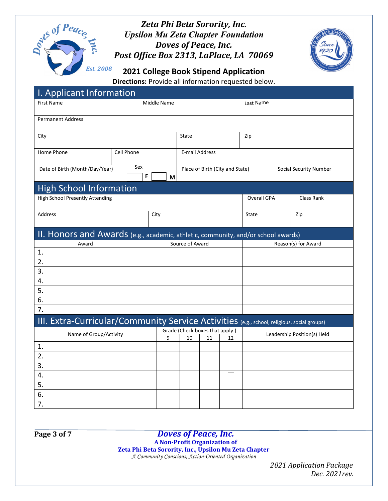



**2021 College Book Stipend Application**

| Directions: Provide all information requested below. |  |  |
|------------------------------------------------------|--|--|
|------------------------------------------------------|--|--|

| I. Applicant Information                                                                    |            |                          |                                        |    |                                 |                             |                               |  |  |
|---------------------------------------------------------------------------------------------|------------|--------------------------|----------------------------------------|----|---------------------------------|-----------------------------|-------------------------------|--|--|
| <b>First Name</b>                                                                           |            | Middle Name<br>Last Name |                                        |    |                                 |                             |                               |  |  |
|                                                                                             |            |                          |                                        |    |                                 |                             |                               |  |  |
| <b>Permanent Address</b>                                                                    |            |                          |                                        |    |                                 |                             |                               |  |  |
| City                                                                                        |            |                          | State                                  |    |                                 | Zip                         |                               |  |  |
|                                                                                             |            |                          |                                        |    |                                 |                             |                               |  |  |
| Home Phone                                                                                  | Cell Phone |                          | E-mail Address                         |    |                                 |                             |                               |  |  |
| Date of Birth (Month/Day/Year)                                                              | Sex        |                          |                                        |    | Place of Birth (City and State) |                             | <b>Social Security Number</b> |  |  |
|                                                                                             | F          | M                        |                                        |    |                                 |                             |                               |  |  |
| <b>High School Information</b>                                                              |            |                          |                                        |    |                                 |                             |                               |  |  |
| <b>High School Presently Attending</b>                                                      |            |                          |                                        |    |                                 | Overall GPA                 | Class Rank                    |  |  |
|                                                                                             |            |                          |                                        |    |                                 |                             |                               |  |  |
| Address                                                                                     | City       |                          |                                        |    |                                 | State                       | Zip                           |  |  |
|                                                                                             |            |                          |                                        |    |                                 |                             |                               |  |  |
| II. Honors and Awards (e.g., academic, athletic, community, and/or school awards)           |            |                          |                                        |    |                                 |                             |                               |  |  |
| Award                                                                                       |            |                          | Source of Award<br>Reason(s) for Award |    |                                 |                             |                               |  |  |
| 1.                                                                                          |            |                          |                                        |    |                                 |                             |                               |  |  |
| 2.                                                                                          |            |                          |                                        |    |                                 |                             |                               |  |  |
| 3.                                                                                          |            |                          |                                        |    |                                 |                             |                               |  |  |
| 4.<br>5.                                                                                    |            |                          |                                        |    |                                 |                             |                               |  |  |
| 6.                                                                                          |            |                          |                                        |    |                                 |                             |                               |  |  |
| 7.                                                                                          |            |                          |                                        |    |                                 |                             |                               |  |  |
| III. Extra-Curricular/Community Service Activities (e.g., school, religious, social groups) |            |                          |                                        |    |                                 |                             |                               |  |  |
|                                                                                             |            |                          | Grade (Check boxes that apply.)        |    |                                 |                             |                               |  |  |
| Name of Group/Activity                                                                      |            | 9                        | 10                                     | 11 | 12                              | Leadership Position(s) Held |                               |  |  |
| 1.                                                                                          |            |                          |                                        |    |                                 |                             |                               |  |  |
| 2.                                                                                          |            |                          |                                        |    |                                 |                             |                               |  |  |
| 3.                                                                                          |            |                          |                                        |    |                                 |                             |                               |  |  |
| 4.                                                                                          |            |                          |                                        |    |                                 |                             |                               |  |  |
| 5.                                                                                          |            |                          |                                        |    |                                 |                             |                               |  |  |
| 6.                                                                                          |            |                          |                                        |    |                                 |                             |                               |  |  |
| 7.                                                                                          |            |                          |                                        |    |                                 |                             |                               |  |  |

#### **Page 3 of 7** *Doves of Peace, Inc.*

**A Non-Profit Organization of** 

**Zeta Phi Beta Sorority, Inc., Upsilon Mu Zeta Chapter** 

*A Community Conscious, Action-Oriented Organization*

 *2021 Application Package Dec. 2021rev.*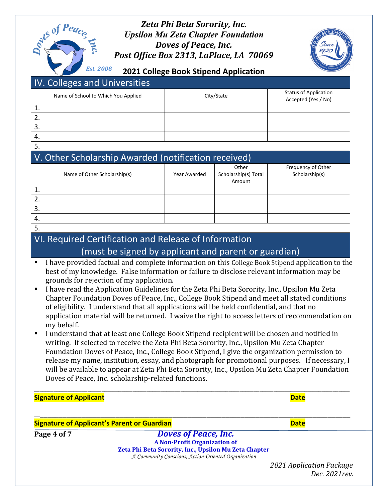# als of Peace *Est. 2008*

#### *Zeta Phi Beta Sorority, Inc. Upsilon Mu Zeta Chapter Foundation Doves of Peace, Inc. Post Office Box 2313, LaPlace, LA 70069*



**2021 College Book Stipend Application**

## IV. Colleges and Universities

|     | Name of School to Which You Applied | City/State | <b>Status of Application</b><br>Accepted (Yes / No) |
|-----|-------------------------------------|------------|-----------------------------------------------------|
|     |                                     |            |                                                     |
|     |                                     |            |                                                     |
| э.  |                                     |            |                                                     |
| -4. |                                     |            |                                                     |

5.

# V. Other Scholarship Awarded (notification received)

| Name of Other Scholarship(s) | Year Awarded | Other<br>Scholarship(s) Total | Frequency of Other<br>Scholarship(s) |
|------------------------------|--------------|-------------------------------|--------------------------------------|
|                              |              | Amount                        |                                      |
| ⊥.                           |              |                               |                                      |
| z.                           |              |                               |                                      |
| 3.                           |              |                               |                                      |
| 4.                           |              |                               |                                      |
|                              |              |                               |                                      |

5.

## VI. Required Certification and Release of Information (must be signed by applicant and parent or guardian)

- I have provided factual and complete information on this College Book Stipend application to the best of my knowledge. False information or failure to disclose relevant information may be grounds for rejection of my application.
- I have read the Application Guidelines for the Zeta Phi Beta Sorority, Inc., Upsilon Mu Zeta Chapter Foundation Doves of Peace, Inc., College Book Stipend and meet all stated conditions of eligibility. I understand that all applications will be held confidential, and that no application material will be returned. I waive the right to access letters of recommendation on my behalf.
- I understand that at least one College Book Stipend recipient will be chosen and notified in writing. If selected to receive the Zeta Phi Beta Sorority, Inc., Upsilon Mu Zeta Chapter Foundation Doves of Peace, Inc., College Book Stipend, I give the organization permission to release my name, institution, essay, and photograph for promotional purposes. If necessary, I will be available to appear at Zeta Phi Beta Sorority, Inc., Upsilon Mu Zeta Chapter Foundation Doves of Peace, Inc. scholarship-related functions.

\_\_\_\_\_\_\_\_\_\_\_\_\_\_\_\_\_\_\_\_\_\_\_\_\_\_\_\_\_\_\_\_\_\_\_\_\_\_\_\_\_\_\_\_\_\_\_\_\_\_\_\_\_\_\_\_\_\_\_\_\_\_\_\_\_\_\_\_\_\_\_\_\_\_\_\_\_\_\_\_\_\_\_\_\_\_\_\_\_\_\_\_\_\_\_\_\_\_\_\_\_\_\_\_\_\_\_\_\_\_\_\_ **Signature of Applicant Date** 

**\_\_\_\_\_\_\_\_\_\_\_\_\_\_\_\_\_\_\_\_\_\_\_\_\_\_\_\_\_\_\_\_\_\_\_\_\_\_\_\_\_\_\_\_\_\_\_\_\_\_\_\_\_\_\_\_\_\_\_\_\_\_\_\_\_\_\_\_\_\_\_\_\_\_\_\_\_\_\_\_\_\_\_\_ Signature of Applicant's Parent or Guardian Business Contract Contract Contract Contract Contract Contract Contract Contract Contract Contract Contract Contract Contract Contract Contract Contract Contract Contract Cont** 

**Page 4 of 7** *Doves of Peace, Inc.* **A Non-Profit Organization of Zeta Phi Beta Sorority, Inc., Upsilon Mu Zeta Chapter**  *A Community Conscious, Action-Oriented Organization*

> *2021 Application Package Dec. 2021rev.*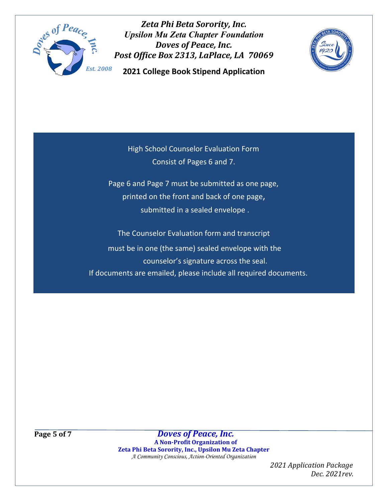

**2021 College Book Stipend Application**



High School Counselor Evaluation Form Consist of Pages 6 and 7.

Page 6 and Page 7 must be submitted as one page, printed on the front and back of one page, submitted in a sealed envelope .

The Counselor Evaluation form and transcript must be in one (the same) sealed envelope with the counselor's signature across the seal. If documents are emailed, please include all required documents.

**Page 5 of 7** *Doves of Peace, Inc.* **A Non-Profit Organization of Zeta Phi Beta Sorority, Inc., Upsilon Mu Zeta Chapter**  *A Community Conscious, Action-Oriented Organization*

> *2021 Application Package Dec. 2021rev.*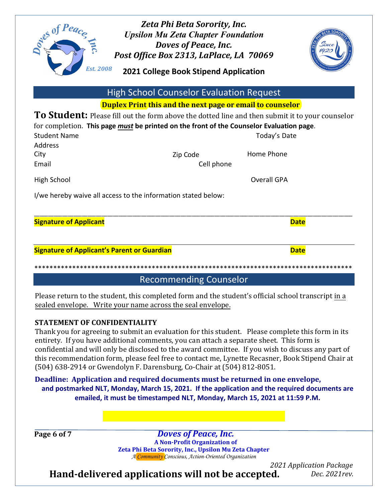

**2021 College Book Stipend Application**



|                                                                                                 | <b>High School Counselor Evaluation Request</b> |                                                                                                 |
|-------------------------------------------------------------------------------------------------|-------------------------------------------------|-------------------------------------------------------------------------------------------------|
|                                                                                                 |                                                 | <b>Duplex Print this and the next page or email to counselor</b>                                |
|                                                                                                 |                                                 | To Student: Please fill out the form above the dotted line and then submit it to your counselor |
| for completion. This page <i>must</i> be printed on the front of the Counselor Evaluation page. |                                                 |                                                                                                 |
| <b>Student Name</b>                                                                             |                                                 | Today's Date                                                                                    |
| <b>Address</b>                                                                                  |                                                 |                                                                                                 |
| City                                                                                            | Zip Code                                        | Home Phone                                                                                      |
| Email                                                                                           | Cell phone                                      |                                                                                                 |
| High School                                                                                     |                                                 | <b>Overall GPA</b>                                                                              |
| I/we hereby waive all access to the information stated below:                                   |                                                 |                                                                                                 |
|                                                                                                 |                                                 |                                                                                                 |
| <b>Signature of Applicant</b>                                                                   |                                                 | <b>Date</b>                                                                                     |
|                                                                                                 |                                                 |                                                                                                 |
| <b>Signature of Applicant's Parent or Guardian</b>                                              |                                                 | <b>Date</b>                                                                                     |

Recommending Counselor

\*\*\*\*\*\*\*\*\*\*\*\*\*\*\*\*\*\*\*\*\*\*\*\*\*\*\*\*\*\*\*\*\*\*\*\*\*\*\*\*\*\*\*\*\*\*\*\*\*\*\*\*\*\*\*\*\*\*\*\*\*\*\*\*\*\*\*\*\*\*\*\*\*\*\*\*\*\*\*\*\*\*\*\*

Please return to the student, this completed form and the student's official school transcript in a sealed envelope. Write your name across the seal envelope.

#### **STATEMENT OF CONFIDENTIALITY**

Thank you for agreeing to submit an evaluation for this student. Please complete this form in its entirety. If you have additional comments, you can attach a separate sheet. This form is confidential and will only be disclosed to the award committee. If you wish to discuss any part of this recommendation form, please feel free to contact me, Lynette Recasner, Book Stipend Chair at (504) 638-2914 or Gwendolyn F. Darensburg, Co-Chair at (504) 812-8051.

**Deadline: Application and required documents must be returned in one envelope, and postmarked NLT, Monday, March 15, 2021. If the application and the required documents are emailed, it must be timestamped NLT, Monday, March 15, 2021 at 11:59 P.M.** 

**Page 6 of 7** *Doves of Peace, Inc.* **A Non-Profit Organization of Zeta Phi Beta Sorority, Inc., Upsilon Mu Zeta Chapter**  *A Community Conscious, Action-Oriented Organization*

 *2021 Application Package Dec. 2021rev.*

**Hand-delivered applications will not be accepted.**